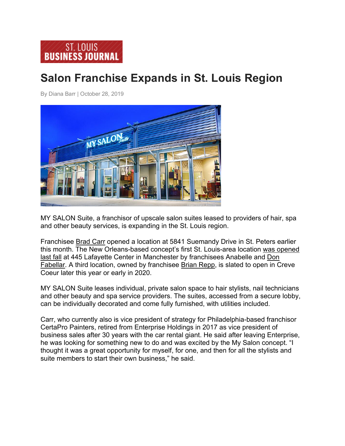## **Salon Franchise Expands in St. Louis Region**

By Diana Barr | October 28, 2019



MY SALON Suite, a franchisor of upscale salon suites leased to providers of hair, spa and other beauty services, is expanding in the St. Louis region.

Franchisee Brad Carr opened a location at 5841 Suemandy Drive in St. Peters earlier this month. The New Orleans-based concept's first St. Louis-area location was opened last fall at 445 Lafayette Center in Manchester by franchisees Anabelle and Don Fabellar. A third location, owned by franchisee Brian Repp, is slated to open in Creve Coeur later this year or early in 2020.

MY SALON Suite leases individual, private salon space to hair stylists, nail technicians and other beauty and spa service providers. The suites, accessed from a secure lobby, can be individually decorated and come fully furnished, with utilities included.

Carr, who currently also is vice president of strategy for Philadelphia-based franchisor CertaPro Painters, retired from Enterprise Holdings in 2017 as vice president of business sales after 30 years with the car rental giant. He said after leaving Enterprise, he was looking for something new to do and was excited by the My Salon concept. "I thought it was a great opportunity for myself, for one, and then for all the stylists and suite members to start their own business," he said.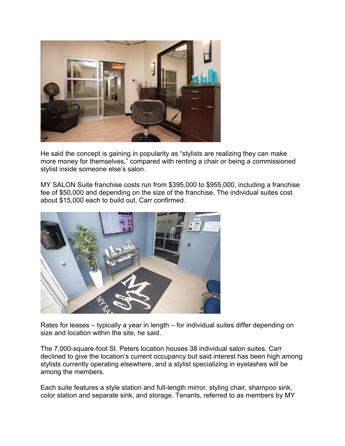

He said the concept is gaining in popularity as "stylists are realizing they can make more money for themselves," compared with renting a chair or being a commissioned stylist inside someone else's salon.

MY SALON Suite franchise costs run from \$395,000 to \$955,000, including a franchise fee of \$50,000 and depending on the size of the franchise. The individual suites cost about \$15,000 each to build out, Carr confirmed.



Rates for leases – typically a year in length – for individual suites differ depending on size and location within the site, he said.

The 7,000-square-foot St. Peters location houses 38 individual salon suites. Carr declined to give the location's current occupancy but said interest has been high among stylists currently operating elsewhere, and a stylist specializing in eyelashes will be among the members.

Each suite features a style station and full-length mirror, styling chair, shampoo sink, color station and separate sink, and storage. Tenants, referred to as members by MY